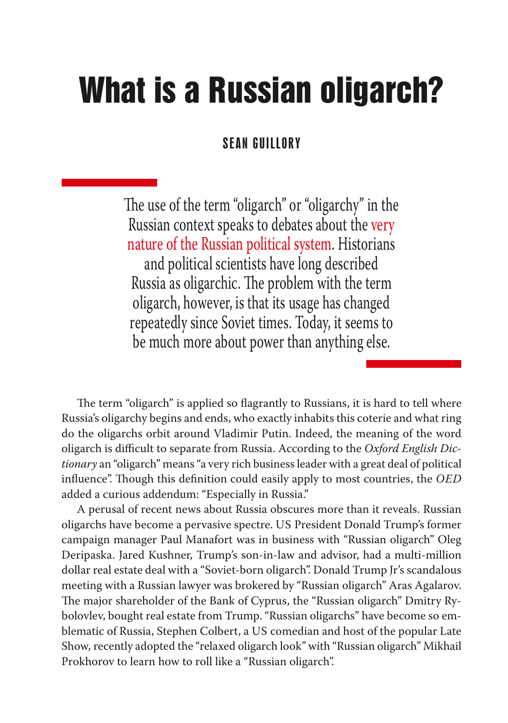# What is a Russian oligarch?

# SEAN GUILLORY

The use of the term "oligarch" or "oligarchy" in the Russian context speaks to debates about the very nature of the Russian political system. Historians and political scientists have long described Russia as oligarchic. The problem with the term oligarch, however, is that its usage has changed repeatedly since Soviet times. Today, it seems to be much more about power than anything else.

The term "oligarch" is applied so flagrantly to Russians, it is hard to tell where Russia's oligarchy begins and ends, who exactly inhabits this coterie and what ring do the oligarchs orbit around Vladimir Putin. Indeed, the meaning of the word oligarch is difficult to separate from Russia. According to the *Oxford English Dictionary* an "oligarch" means "a very rich business leader with a great deal of political influence". Though this definition could easily apply to most countries, the *OED* added a curious addendum: "Especially in Russia."

A perusal of recent news about Russia obscures more than it reveals. Russian oligarchs have become a pervasive spectre. US President Donald Trump's former campaign manager Paul Manafort was in business with "Russian oligarch" Oleg Deripaska. Jared Kushner, Trump's son-in-law and advisor, had a multi-million dollar real estate deal with a "Soviet-born oligarch". Donald Trump Jr's scandalous meeting with a Russian lawyer was brokered by "Russian oligarch" Aras Agalarov. The major shareholder of the Bank of Cyprus, the "Russian oligarch" Dmitry Rybolovlev, bought real estate from Trump. "Russian oligarchs" have become so emblematic of Russia, Stephen Colbert, a US comedian and host of the popular Late Show*,* recently adopted the "relaxed oligarch look" with "Russian oligarch" Mikhail Prokhorov to learn how to roll like a "Russian oligarch".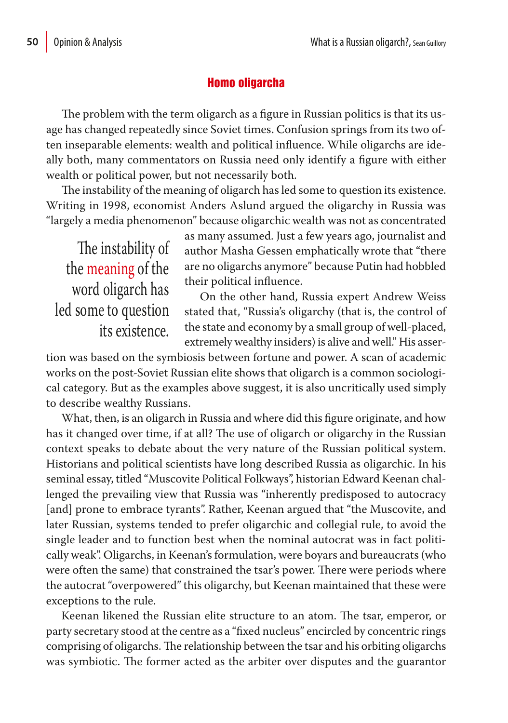# Homo oligarcha

The problem with the term oligarch as a figure in Russian politics is that its usage has changed repeatedly since Soviet times. Confusion springs from its two often inseparable elements: wealth and political influence. While oligarchs are ideally both, many commentators on Russia need only identify a figure with either wealth or political power, but not necessarily both.

The instability of the meaning of oligarch has led some to question its existence. Writing in 1998, economist Anders Aslund argued the oligarchy in Russia was "largely a media phenomenon" because oligarchic wealth was not as concentrated

The instability of the meaning of the word oligarch has led some to question its existence. as many assumed. Just a few years ago, journalist and author Masha Gessen emphatically wrote that "there are no oligarchs anymore" because Putin had hobbled their political influence.

On the other hand, Russia expert Andrew Weiss stated that, "Russia's oligarchy (that is, the control of the state and economy by a small group of well-placed, extremely wealthy insiders) is alive and well." His asser-

tion was based on the symbiosis between fortune and power. A scan of academic works on the post-Soviet Russian elite shows that oligarch is a common sociological category. But as the examples above suggest, it is also uncritically used simply to describe wealthy Russians.

What, then, is an oligarch in Russia and where did this figure originate, and how has it changed over time, if at all? The use of oligarch or oligarchy in the Russian context speaks to debate about the very nature of the Russian political system. Historians and political scientists have long described Russia as oligarchic. In his seminal essay, titled "Muscovite Political Folkways", historian Edward Keenan challenged the prevailing view that Russia was "inherently predisposed to autocracy [and] prone to embrace tyrants". Rather, Keenan argued that "the Muscovite, and later Russian, systems tended to prefer oligarchic and collegial rule, to avoid the single leader and to function best when the nominal autocrat was in fact politically weak". Oligarchs, in Keenan's formulation, were boyars and bureaucrats (who were often the same) that constrained the tsar's power. There were periods where the autocrat "overpowered" this oligarchy, but Keenan maintained that these were exceptions to the rule.

Keenan likened the Russian elite structure to an atom. The tsar, emperor, or party secretary stood at the centre as a "fixed nucleus" encircled by concentric rings comprising of oligarchs. The relationship between the tsar and his orbiting oligarchs was symbiotic. The former acted as the arbiter over disputes and the guarantor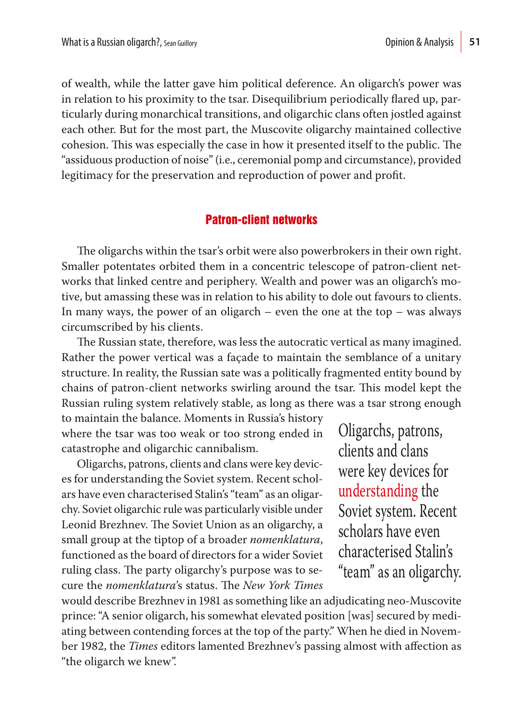of wealth, while the latter gave him political deference. An oligarch's power was in relation to his proximity to the tsar. Disequilibrium periodically flared up, particularly during monarchical transitions, and oligarchic clans often jostled against each other. But for the most part, the Muscovite oligarchy maintained collective cohesion. This was especially the case in how it presented itself to the public. The "assiduous production of noise" (i.e., ceremonial pomp and circumstance), provided legitimacy for the preservation and reproduction of power and profit.

#### Patron-client networks

The oligarchs within the tsar's orbit were also powerbrokers in their own right. Smaller potentates orbited them in a concentric telescope of patron-client networks that linked centre and periphery. Wealth and power was an oligarch's motive, but amassing these was in relation to his ability to dole out favours to clients. In many ways, the power of an oligarch – even the one at the top – was always circumscribed by his clients.

The Russian state, therefore, was less the autocratic vertical as many imagined. Rather the power vertical was a façade to maintain the semblance of a unitary structure. In reality, the Russian sate was a politically fragmented entity bound by chains of patron-client networks swirling around the tsar. This model kept the Russian ruling system relatively stable, as long as there was a tsar strong enough

to maintain the balance. Moments in Russia's history where the tsar was too weak or too strong ended in catastrophe and oligarchic cannibalism.

Oligarchs, patrons, clients and clans were key devices for understanding the Soviet system. Recent scholars have even characterised Stalin's "team" as an oligarchy. Soviet oligarchic rule was particularly visible under Leonid Brezhnev. The Soviet Union as an oligarchy, a small group at the tiptop of a broader *nomenklatura*, functioned as the board of directors for a wider Soviet ruling class. The party oligarchy's purpose was to secure the *nomenklatura*'s status. The *New York Times*

Oligarchs, patrons, clients and clans were key devices for understanding the Soviet system. Recent scholars have even characterised Stalin's "team" as an oligarchy.

would describe Brezhnev in 1981 as something like an adjudicating neo-Muscovite prince: "A senior oligarch, his somewhat elevated position [was] secured by mediating between contending forces at the top of the party." When he died in November 1982, the *Times* editors lamented Brezhnev's passing almost with affection as "the oligarch we knew".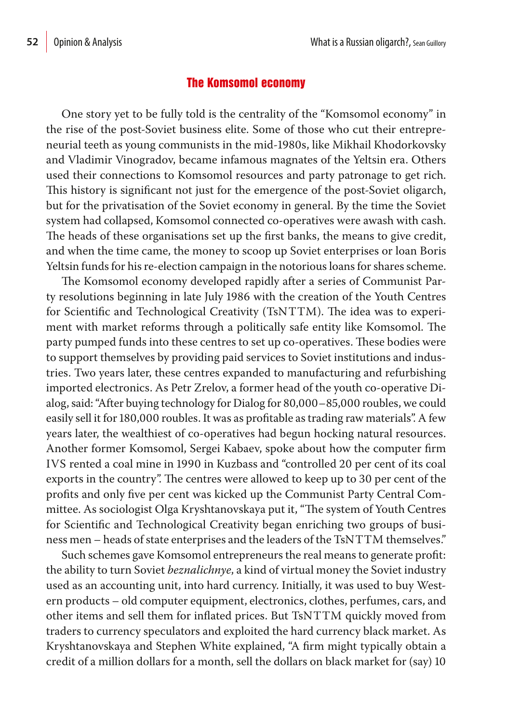### The Komsomol economy

One story yet to be fully told is the centrality of the "Komsomol economy" in the rise of the post-Soviet business elite. Some of those who cut their entrepreneurial teeth as young communists in the mid-1980s, like Mikhail Khodorkovsky and Vladimir Vinogradov, became infamous magnates of the Yeltsin era. Others used their connections to Komsomol resources and party patronage to get rich. This history is significant not just for the emergence of the post-Soviet oligarch, but for the privatisation of the Soviet economy in general. By the time the Soviet system had collapsed, Komsomol connected co-operatives were awash with cash. The heads of these organisations set up the first banks, the means to give credit, and when the time came, the money to scoop up Soviet enterprises or loan Boris Yeltsin funds for his re-election campaign in the notorious loans for shares scheme.

The Komsomol economy developed rapidly after a series of Communist Party resolutions beginning in late July 1986 with the creation of the Youth Centres for Scientific and Technological Creativity (TsNTTM). The idea was to experiment with market reforms through a politically safe entity like Komsomol. The party pumped funds into these centres to set up co-operatives. These bodies were to support themselves by providing paid services to Soviet institutions and industries. Two years later, these centres expanded to manufacturing and refurbishing imported electronics. As Petr Zrelov, a former head of the youth co-operative Dialog, said: "After buying technology for Dialog for 80,000–85,000 roubles, we could easily sell it for 180,000 roubles. It was as profitable as trading raw materials". A few years later, the wealthiest of co-operatives had begun hocking natural resources. Another former Komsomol, Sergei Kabaev, spoke about how the computer firm IVS rented a coal mine in 1990 in Kuzbass and "controlled 20 per cent of its coal exports in the country". The centres were allowed to keep up to 30 per cent of the profits and only five per cent was kicked up the Communist Party Central Committee. As sociologist Olga Kryshtanovskaya put it, "The system of Youth Centres for Scientific and Technological Creativity began enriching two groups of business men – heads of state enterprises and the leaders of the TsNTTM themselves."

Such schemes gave Komsomol entrepreneurs the real means to generate profit: the ability to turn Soviet *beznalichnye*, a kind of virtual money the Soviet industry used as an accounting unit, into hard currency. Initially, it was used to buy Western products – old computer equipment, electronics, clothes, perfumes, cars, and other items and sell them for inflated prices. But TsNTTM quickly moved from traders to currency speculators and exploited the hard currency black market. As Kryshtanovskaya and Stephen White explained, "A firm might typically obtain a credit of a million dollars for a month, sell the dollars on black market for (say) 10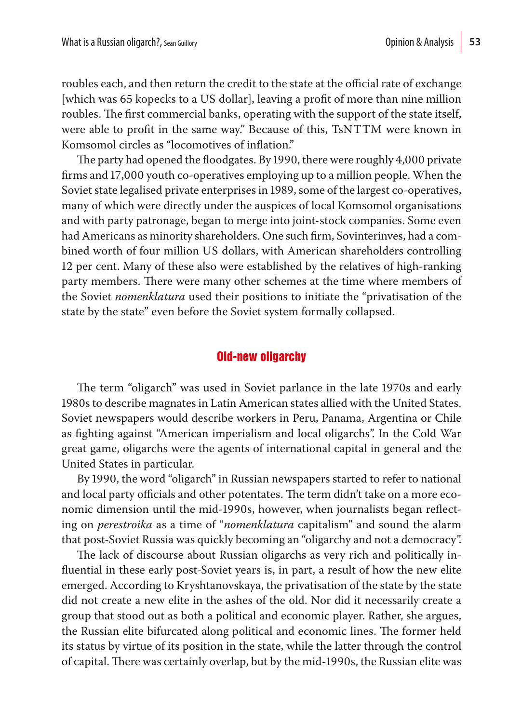roubles each, and then return the credit to the state at the official rate of exchange [which was 65 kopecks to a US dollar], leaving a profit of more than nine million roubles. The first commercial banks, operating with the support of the state itself, were able to profit in the same way." Because of this, TsNTTM were known in Komsomol circles as "locomotives of inflation."

The party had opened the floodgates. By 1990, there were roughly 4,000 private firms and 17,000 youth co-operatives employing up to a million people. When the Soviet state legalised private enterprises in 1989, some of the largest co-operatives, many of which were directly under the auspices of local Komsomol organisations and with party patronage, began to merge into joint-stock companies. Some even had Americans as minority shareholders. One such firm, Sovinterinves, had a combined worth of four million US dollars, with American shareholders controlling 12 per cent. Many of these also were established by the relatives of high-ranking party members. There were many other schemes at the time where members of the Soviet *nomenklatura* used their positions to initiate the "privatisation of the state by the state" even before the Soviet system formally collapsed.

#### Old-new oligarchy

The term "oligarch" was used in Soviet parlance in the late 1970s and early 1980s to describe magnates in Latin American states allied with the United States. Soviet newspapers would describe workers in Peru, Panama, Argentina or Chile as fighting against "American imperialism and local oligarchs". In the Cold War great game, oligarchs were the agents of international capital in general and the United States in particular.

By 1990, the word "oligarch" in Russian newspapers started to refer to national and local party officials and other potentates. The term didn't take on a more economic dimension until the mid-1990s, however, when journalists began reflecting on *perestroika* as a time of "*nomenklatura* capitalism" and sound the alarm that post-Soviet Russia was quickly becoming an "oligarchy and not a democracy".

The lack of discourse about Russian oligarchs as very rich and politically influential in these early post-Soviet years is, in part, a result of how the new elite emerged. According to Kryshtanovskaya, the privatisation of the state by the state did not create a new elite in the ashes of the old. Nor did it necessarily create a group that stood out as both a political and economic player. Rather, she argues, the Russian elite bifurcated along political and economic lines. The former held its status by virtue of its position in the state, while the latter through the control of capital. There was certainly overlap, but by the mid-1990s, the Russian elite was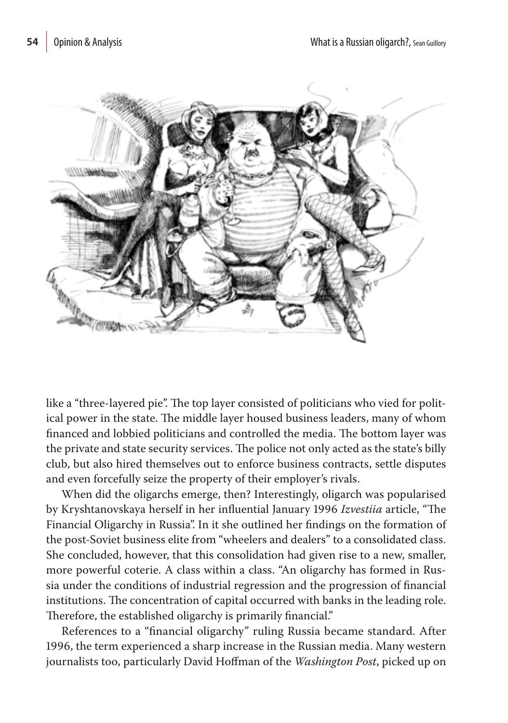

like a "three-layered pie". The top layer consisted of politicians who vied for political power in the state. The middle layer housed business leaders, many of whom financed and lobbied politicians and controlled the media. The bottom layer was the private and state security services. The police not only acted as the state's billy club, but also hired themselves out to enforce business contracts, settle disputes and even forcefully seize the property of their employer's rivals.

When did the oligarchs emerge, then? Interestingly, oligarch was popularised by Kryshtanovskaya herself in her influential January 1996 *Izvestiia* article, "The Financial Oligarchy in Russia". In it she outlined her findings on the formation of the post-Soviet business elite from "wheelers and dealers" to a consolidated class. She concluded, however, that this consolidation had given rise to a new, smaller, more powerful coterie. A class within a class. "An oligarchy has formed in Russia under the conditions of industrial regression and the progression of financial institutions. The concentration of capital occurred with banks in the leading role. Therefore, the established oligarchy is primarily financial."

References to a "financial oligarchy" ruling Russia became standard. After 1996, the term experienced a sharp increase in the Russian media. Many western journalists too, particularly David Hoffman of the *Washington Post*, picked up on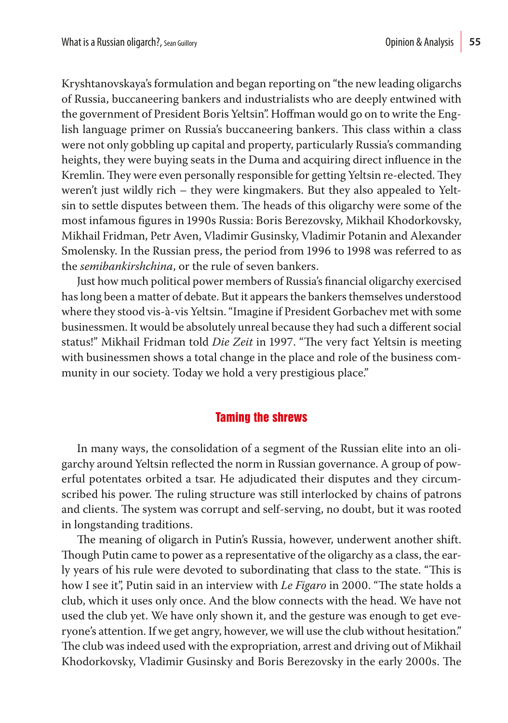Kryshtanovskaya's formulation and began reporting on "the new leading oligarchs of Russia, buccaneering bankers and industrialists who are deeply entwined with the government of President Boris Yeltsin". Hoffman would go on to write the English language primer on Russia's buccaneering bankers. This class within a class were not only gobbling up capital and property, particularly Russia's commanding heights, they were buying seats in the Duma and acquiring direct influence in the Kremlin. They were even personally responsible for getting Yeltsin re-elected. They weren't just wildly rich – they were kingmakers. But they also appealed to Yeltsin to settle disputes between them. The heads of this oligarchy were some of the most infamous figures in 1990s Russia: Boris Berezovsky, Mikhail Khodorkovsky, Mikhail Fridman, Petr Aven, Vladimir Gusinsky, Vladimir Potanin and Alexander Smolensky. In the Russian press, the period from 1996 to 1998 was referred to as the *semibankirshchina*, or the rule of seven bankers.

Just how much political power members of Russia's financial oligarchy exercised has long been a matter of debate. But it appears the bankers themselves understood where they stood vis-à-vis Yeltsin. "Imagine if President Gorbachev met with some businessmen. It would be absolutely unreal because they had such a different social status!" Mikhail Fridman told *Die Zeit* in 1997. "The very fact Yeltsin is meeting with businessmen shows a total change in the place and role of the business community in our society. Today we hold a very prestigious place."

## Taming the shrews

In many ways, the consolidation of a segment of the Russian elite into an oligarchy around Yeltsin reflected the norm in Russian governance. A group of powerful potentates orbited a tsar. He adjudicated their disputes and they circumscribed his power. The ruling structure was still interlocked by chains of patrons and clients. The system was corrupt and self-serving, no doubt, but it was rooted in longstanding traditions.

The meaning of oligarch in Putin's Russia, however, underwent another shift. Though Putin came to power as a representative of the oligarchy as a class, the early years of his rule were devoted to subordinating that class to the state. "This is how I see it", Putin said in an interview with *Le Figaro* in 2000. "The state holds a club, which it uses only once. And the blow connects with the head. We have not used the club yet. We have only shown it, and the gesture was enough to get everyone's attention. If we get angry, however, we will use the club without hesitation." The club was indeed used with the expropriation, arrest and driving out of Mikhail Khodorkovsky, Vladimir Gusinsky and Boris Berezovsky in the early 2000s. The